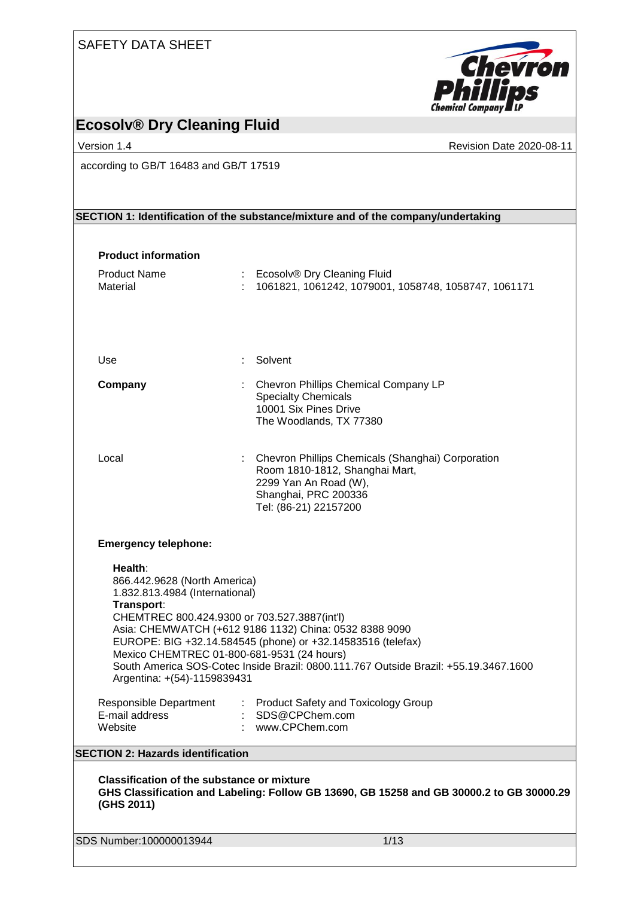| <b>SAFETY DATA SHEET</b>                                                                                                  |                                      |                                                                                                                                                                                                               |
|---------------------------------------------------------------------------------------------------------------------------|--------------------------------------|---------------------------------------------------------------------------------------------------------------------------------------------------------------------------------------------------------------|
|                                                                                                                           |                                      | <b>Chevron</b><br><b>Phillips</b>                                                                                                                                                                             |
| <b>Ecosolv® Dry Cleaning Fluid</b>                                                                                        |                                      |                                                                                                                                                                                                               |
| Version 1.4                                                                                                               |                                      | Revision Date 2020-08-11                                                                                                                                                                                      |
| according to GB/T 16483 and GB/T 17519                                                                                    |                                      |                                                                                                                                                                                                               |
|                                                                                                                           |                                      | SECTION 1: Identification of the substance/mixture and of the company/undertaking                                                                                                                             |
| <b>Product information</b>                                                                                                |                                      |                                                                                                                                                                                                               |
| <b>Product Name</b><br>Material                                                                                           |                                      | Ecosolv® Dry Cleaning Fluid<br>1061821, 1061242, 1079001, 1058748, 1058747, 1061171                                                                                                                           |
| Use                                                                                                                       | Solvent                              |                                                                                                                                                                                                               |
| Company                                                                                                                   | <b>Specialty Chemicals</b>           | Chevron Phillips Chemical Company LP<br>10001 Six Pines Drive<br>The Woodlands, TX 77380                                                                                                                      |
| Local                                                                                                                     |                                      | Chevron Phillips Chemicals (Shanghai) Corporation<br>Room 1810-1812, Shanghai Mart,<br>2299 Yan An Road (W),<br>Shanghai, PRC 200336<br>Tel: (86-21) 22157200                                                 |
| <b>Emergency telephone:</b>                                                                                               |                                      |                                                                                                                                                                                                               |
| Health:<br>866.442.9628 (North America)<br>1.832.813.4984 (International)<br>Transport:                                   |                                      |                                                                                                                                                                                                               |
| CHEMTREC 800.424.9300 or 703.527.3887(int'l)<br>Mexico CHEMTREC 01-800-681-9531 (24 hours)<br>Argentina: +(54)-1159839431 |                                      | Asia: CHEMWATCH (+612 9186 1132) China: 0532 8388 9090<br>EUROPE: BIG +32.14.584545 (phone) or +32.14583516 (telefax)<br>South America SOS-Cotec Inside Brazil: 0800.111.767 Outside Brazil: +55.19.3467.1600 |
| Responsible Department<br>E-mail address<br>Website                                                                       | : SDS@CPChem.com<br>: www.CPChem.com | : Product Safety and Toxicology Group                                                                                                                                                                         |
| <b>SECTION 2: Hazards identification</b>                                                                                  |                                      |                                                                                                                                                                                                               |
| <b>Classification of the substance or mixture</b><br>(GHS 2011)                                                           |                                      | GHS Classification and Labeling: Follow GB 13690, GB 15258 and GB 30000.2 to GB 30000.29                                                                                                                      |
| SDS Number:100000013944                                                                                                   |                                      | 1/13                                                                                                                                                                                                          |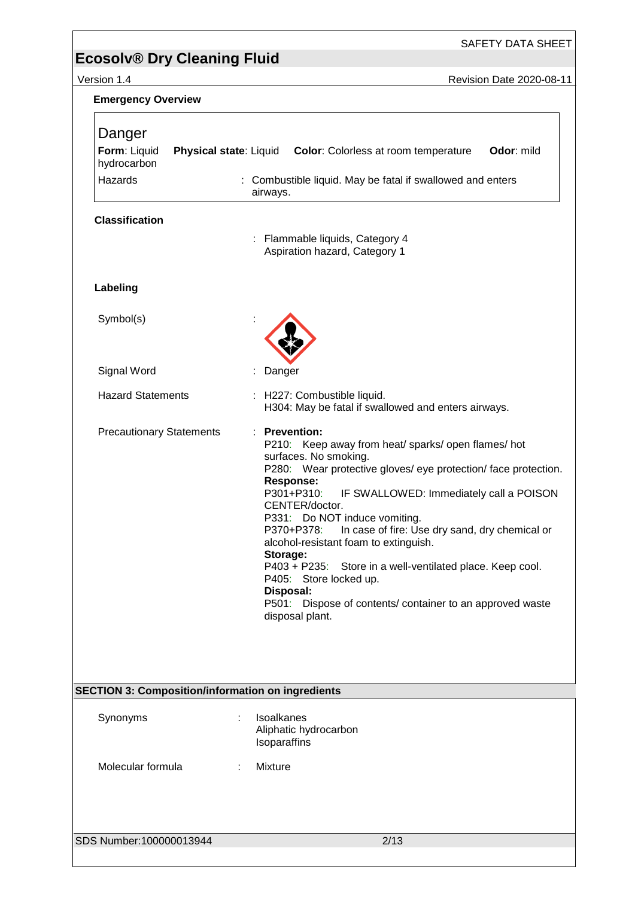SAFETY DATA SHEET

Version 1.4 Revision Date 2020-08-11

| <b>Emergency Overview</b>                                |                                                                                                                                                                                                                                                                                                                                                                                                                                                                                                                                                                                                              |
|----------------------------------------------------------|--------------------------------------------------------------------------------------------------------------------------------------------------------------------------------------------------------------------------------------------------------------------------------------------------------------------------------------------------------------------------------------------------------------------------------------------------------------------------------------------------------------------------------------------------------------------------------------------------------------|
| Danger<br>Form: Liquid<br>hydrocarbon<br>Hazards         | <b>Physical state:</b> Liquid Color: Colorless at room temperature<br>Odor: mild<br>: Combustible liquid. May be fatal if swallowed and enters<br>airways.                                                                                                                                                                                                                                                                                                                                                                                                                                                   |
| <b>Classification</b>                                    |                                                                                                                                                                                                                                                                                                                                                                                                                                                                                                                                                                                                              |
|                                                          | : Flammable liquids, Category 4<br>Aspiration hazard, Category 1                                                                                                                                                                                                                                                                                                                                                                                                                                                                                                                                             |
| Labeling                                                 |                                                                                                                                                                                                                                                                                                                                                                                                                                                                                                                                                                                                              |
| Symbol(s)                                                |                                                                                                                                                                                                                                                                                                                                                                                                                                                                                                                                                                                                              |
| Signal Word                                              | Danger                                                                                                                                                                                                                                                                                                                                                                                                                                                                                                                                                                                                       |
| <b>Hazard Statements</b>                                 | : H227: Combustible liquid.<br>H304: May be fatal if swallowed and enters airways.                                                                                                                                                                                                                                                                                                                                                                                                                                                                                                                           |
| <b>Precautionary Statements</b>                          | <b>Prevention:</b><br>P210: Keep away from heat/ sparks/ open flames/ hot<br>surfaces. No smoking.<br>P280: Wear protective gloves/ eye protection/face protection.<br><b>Response:</b><br>P301+P310:<br>IF SWALLOWED: Immediately call a POISON<br>CENTER/doctor.<br>P331: Do NOT induce vomiting.<br>In case of fire: Use dry sand, dry chemical or<br>P370+P378:<br>alcohol-resistant foam to extinguish.<br>Storage:<br>P403 + P235: Store in a well-ventilated place. Keep cool.<br>P405: Store locked up.<br>Disposal:<br>P501: Dispose of contents/ container to an approved waste<br>disposal plant. |
| <b>SECTION 3: Composition/information on ingredients</b> |                                                                                                                                                                                                                                                                                                                                                                                                                                                                                                                                                                                                              |
| Synonyms                                                 | Isoalkanes<br>Aliphatic hydrocarbon<br>Isoparaffins                                                                                                                                                                                                                                                                                                                                                                                                                                                                                                                                                          |
| Molecular formula                                        | Mixture                                                                                                                                                                                                                                                                                                                                                                                                                                                                                                                                                                                                      |
| SDS Number:100000013944                                  | 2/13                                                                                                                                                                                                                                                                                                                                                                                                                                                                                                                                                                                                         |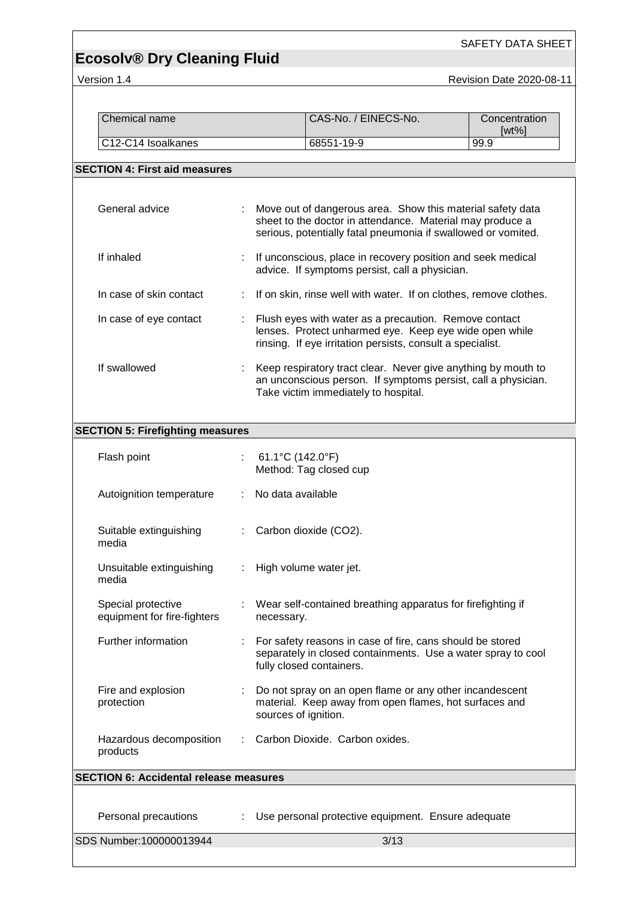SAFETY DATA SHEET

Version 1.4 Revision Date 2020-08-11

| Chemical name                                     |                              |                          | CAS-No. / EINECS-No.                                                                                                                                                                     | Concentration<br>$[wt\%]$ |
|---------------------------------------------------|------------------------------|--------------------------|------------------------------------------------------------------------------------------------------------------------------------------------------------------------------------------|---------------------------|
| C12-C14 Isoalkanes                                |                              |                          | 68551-19-9                                                                                                                                                                               | 99.9                      |
| <b>SECTION 4: First aid measures</b>              |                              |                          |                                                                                                                                                                                          |                           |
| General advice                                    |                              |                          | Move out of dangerous area. Show this material safety data<br>sheet to the doctor in attendance. Material may produce a<br>serious, potentially fatal pneumonia if swallowed or vomited. |                           |
| If inhaled                                        |                              |                          | If unconscious, place in recovery position and seek medical<br>advice. If symptoms persist, call a physician.                                                                            |                           |
| In case of skin contact                           | ÷                            |                          | If on skin, rinse well with water. If on clothes, remove clothes.                                                                                                                        |                           |
| In case of eye contact                            |                              |                          | Flush eyes with water as a precaution. Remove contact<br>lenses. Protect unharmed eye. Keep eye wide open while<br>rinsing. If eye irritation persists, consult a specialist.            |                           |
| If swallowed                                      |                              |                          | Keep respiratory tract clear. Never give anything by mouth to<br>an unconscious person. If symptoms persist, call a physician.<br>Take victim immediately to hospital.                   |                           |
| <b>SECTION 5: Firefighting measures</b>           |                              |                          |                                                                                                                                                                                          |                           |
| Flash point                                       | t.                           | 61.1°C (142.0°F)         | Method: Tag closed cup                                                                                                                                                                   |                           |
| Autoignition temperature                          | ÷.                           | No data available        |                                                                                                                                                                                          |                           |
| Suitable extinguishing<br>media                   |                              | Carbon dioxide (CO2).    |                                                                                                                                                                                          |                           |
| Unsuitable extinguishing<br>media                 | $\mathcal{L}_{\mathrm{max}}$ | High volume water jet.   |                                                                                                                                                                                          |                           |
| Special protective<br>equipment for fire-fighters |                              | necessary.               | Wear self-contained breathing apparatus for firefighting if                                                                                                                              |                           |
| Further information                               |                              | fully closed containers. | For safety reasons in case of fire, cans should be stored<br>separately in closed containments. Use a water spray to cool                                                                |                           |
| Fire and explosion<br>protection                  |                              | sources of ignition.     | Do not spray on an open flame or any other incandescent<br>material. Keep away from open flames, hot surfaces and                                                                        |                           |
| Hazardous decomposition<br>products               |                              |                          | Carbon Dioxide. Carbon oxides.                                                                                                                                                           |                           |
| <b>SECTION 6: Accidental release measures</b>     |                              |                          |                                                                                                                                                                                          |                           |
| Personal precautions                              |                              |                          | Use personal protective equipment. Ensure adequate                                                                                                                                       |                           |
| SDS Number:100000013944                           |                              |                          | 3/13                                                                                                                                                                                     |                           |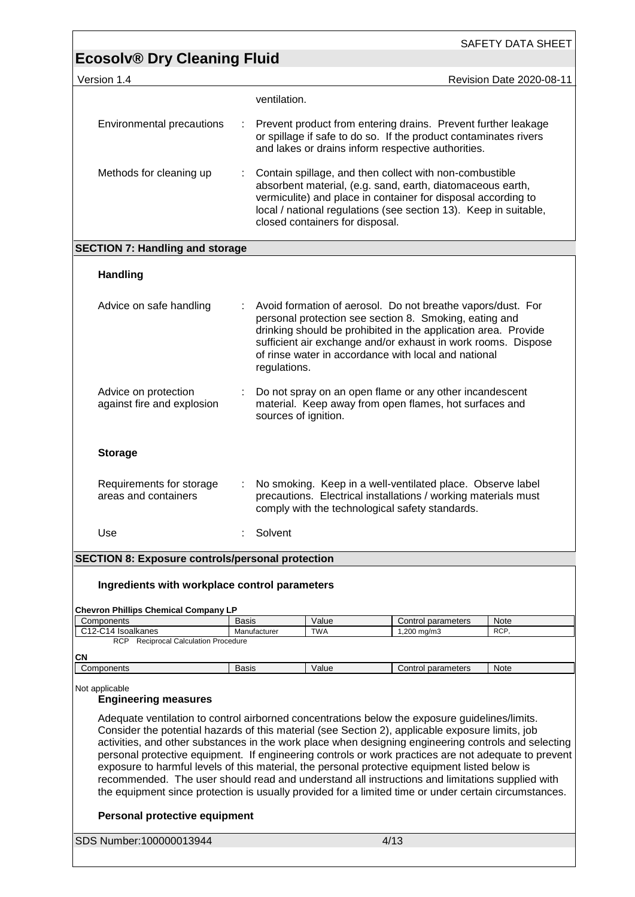| <b>Ecosolv® Dry Cleaning Fluid</b><br>Version 1.4<br>Revision Date 2020-08-11<br>ventilation.<br>Environmental precautions<br>Prevent product from entering drains. Prevent further leakage<br>÷<br>or spillage if safe to do so. If the product contaminates rivers<br>and lakes or drains inform respective authorities.                                                                                                                                                                                                 |  |
|----------------------------------------------------------------------------------------------------------------------------------------------------------------------------------------------------------------------------------------------------------------------------------------------------------------------------------------------------------------------------------------------------------------------------------------------------------------------------------------------------------------------------|--|
|                                                                                                                                                                                                                                                                                                                                                                                                                                                                                                                            |  |
|                                                                                                                                                                                                                                                                                                                                                                                                                                                                                                                            |  |
|                                                                                                                                                                                                                                                                                                                                                                                                                                                                                                                            |  |
| Contain spillage, and then collect with non-combustible<br>Methods for cleaning up<br>absorbent material, (e.g. sand, earth, diatomaceous earth,<br>vermiculite) and place in container for disposal according to<br>local / national regulations (see section 13). Keep in suitable,<br>closed containers for disposal.                                                                                                                                                                                                   |  |
| <b>SECTION 7: Handling and storage</b>                                                                                                                                                                                                                                                                                                                                                                                                                                                                                     |  |
| <b>Handling</b>                                                                                                                                                                                                                                                                                                                                                                                                                                                                                                            |  |
| Advice on safe handling<br>Avoid formation of aerosol. Do not breathe vapors/dust. For<br>personal protection see section 8. Smoking, eating and<br>drinking should be prohibited in the application area. Provide<br>sufficient air exchange and/or exhaust in work rooms. Dispose<br>of rinse water in accordance with local and national<br>regulations.                                                                                                                                                                |  |
| Advice on protection<br>Do not spray on an open flame or any other incandescent<br>against fire and explosion<br>material. Keep away from open flames, hot surfaces and<br>sources of ignition.                                                                                                                                                                                                                                                                                                                            |  |
| <b>Storage</b>                                                                                                                                                                                                                                                                                                                                                                                                                                                                                                             |  |
| No smoking. Keep in a well-ventilated place. Observe label<br>Requirements for storage<br>÷<br>areas and containers<br>precautions. Electrical installations / working materials must<br>comply with the technological safety standards.                                                                                                                                                                                                                                                                                   |  |
| Use<br>Solvent                                                                                                                                                                                                                                                                                                                                                                                                                                                                                                             |  |
| <b>SECTION 8: Exposure controls/personal protection</b>                                                                                                                                                                                                                                                                                                                                                                                                                                                                    |  |
| Ingredients with workplace control parameters                                                                                                                                                                                                                                                                                                                                                                                                                                                                              |  |
| <b>Chevron Phillips Chemical Company LP</b>                                                                                                                                                                                                                                                                                                                                                                                                                                                                                |  |
| Components<br>Value<br>Basis<br>Control parameters<br>Note<br>C12-C14 Isoalkanes<br><b>TWA</b><br>$1,200$ mg/m $3$<br>Manufacturer<br>RCP,                                                                                                                                                                                                                                                                                                                                                                                 |  |
| RCP Reciprocal Calculation Procedure                                                                                                                                                                                                                                                                                                                                                                                                                                                                                       |  |
| СN<br>Components<br><b>Basis</b><br>Value<br>Control parameters<br>Note                                                                                                                                                                                                                                                                                                                                                                                                                                                    |  |
| Not applicable<br><b>Engineering measures</b><br>Adequate ventilation to control airborned concentrations below the exposure guidelines/limits.<br>Consider the potential hazards of this material (see Section 2), applicable exposure limits, job                                                                                                                                                                                                                                                                        |  |
| activities, and other substances in the work place when designing engineering controls and selecting<br>personal protective equipment. If engineering controls or work practices are not adequate to prevent<br>exposure to harmful levels of this material, the personal protective equipment listed below is<br>recommended. The user should read and understand all instructions and limitations supplied with<br>the equipment since protection is usually provided for a limited time or under certain circumstances. |  |
| Personal protective equipment                                                                                                                                                                                                                                                                                                                                                                                                                                                                                              |  |
| SDS Number:100000013944<br>4/13                                                                                                                                                                                                                                                                                                                                                                                                                                                                                            |  |

<u> 1989 - Andrea Barbara, amerikan personal di sebagai personal di sebagai personal di sebagai personal di seba</u>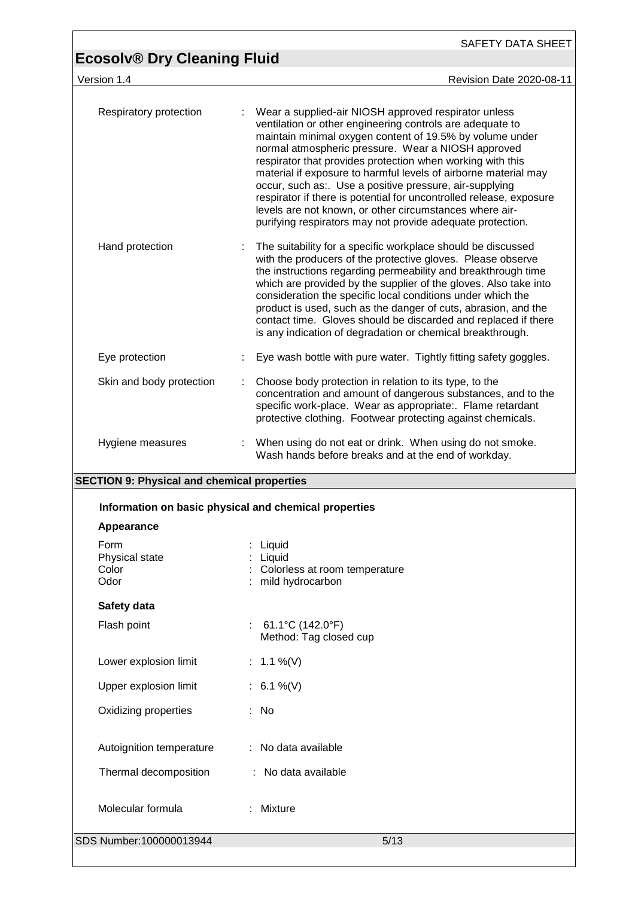SAFETY DATA SHEET

## **Ecosolv® Dry Cleaning Fluid**

version 1.4 **Version 1.4** Revision Date 2020-08-11

| Respiratory protection                                                 | Wear a supplied-air NIOSH approved respirator unless<br>ventilation or other engineering controls are adequate to<br>maintain minimal oxygen content of 19.5% by volume under<br>normal atmospheric pressure. Wear a NIOSH approved<br>respirator that provides protection when working with this<br>material if exposure to harmful levels of airborne material may<br>occur, such as:. Use a positive pressure, air-supplying<br>respirator if there is potential for uncontrolled release, exposure<br>levels are not known, or other circumstances where air-<br>purifying respirators may not provide adequate protection. |
|------------------------------------------------------------------------|---------------------------------------------------------------------------------------------------------------------------------------------------------------------------------------------------------------------------------------------------------------------------------------------------------------------------------------------------------------------------------------------------------------------------------------------------------------------------------------------------------------------------------------------------------------------------------------------------------------------------------|
| Hand protection                                                        | The suitability for a specific workplace should be discussed<br>with the producers of the protective gloves. Please observe<br>the instructions regarding permeability and breakthrough time<br>which are provided by the supplier of the gloves. Also take into<br>consideration the specific local conditions under which the<br>product is used, such as the danger of cuts, abrasion, and the<br>contact time. Gloves should be discarded and replaced if there<br>is any indication of degradation or chemical breakthrough.                                                                                               |
| Eye protection                                                         | Eye wash bottle with pure water. Tightly fitting safety goggles.                                                                                                                                                                                                                                                                                                                                                                                                                                                                                                                                                                |
| Skin and body protection                                               | Choose body protection in relation to its type, to the<br>concentration and amount of dangerous substances, and to the<br>specific work-place. Wear as appropriate:. Flame retardant<br>protective clothing. Footwear protecting against chemicals.                                                                                                                                                                                                                                                                                                                                                                             |
| Hygiene measures<br><b>CECTION 0. Physical and chamical proportios</b> | : When using do not eat or drink. When using do not smoke.<br>Wash hands before breaks and at the end of workday.                                                                                                                                                                                                                                                                                                                                                                                                                                                                                                               |

### **SECTION 9: Physical and chemical properties**

|                                         | Information on basic physical and chemical properties                         |
|-----------------------------------------|-------------------------------------------------------------------------------|
| Appearance                              |                                                                               |
| Form<br>Physical state<br>Color<br>Odor | : Liquid<br>: Liquid<br>: Colorless at room temperature<br>: mild hydrocarbon |
| Safety data                             |                                                                               |
| Flash point                             | : 61.1 °C (142.0 °F)<br>Method: Tag closed cup                                |
| Lower explosion limit                   | : $1.1\%$ (V)                                                                 |
| Upper explosion limit                   | : $6.1\%$ (V)                                                                 |
| Oxidizing properties                    | : No                                                                          |
| Autoignition temperature                | : No data available                                                           |
| Thermal decomposition                   | : No data available                                                           |
| Molecular formula                       | : Mixture                                                                     |
| SDS Number:100000013944                 | 5/13                                                                          |
|                                         |                                                                               |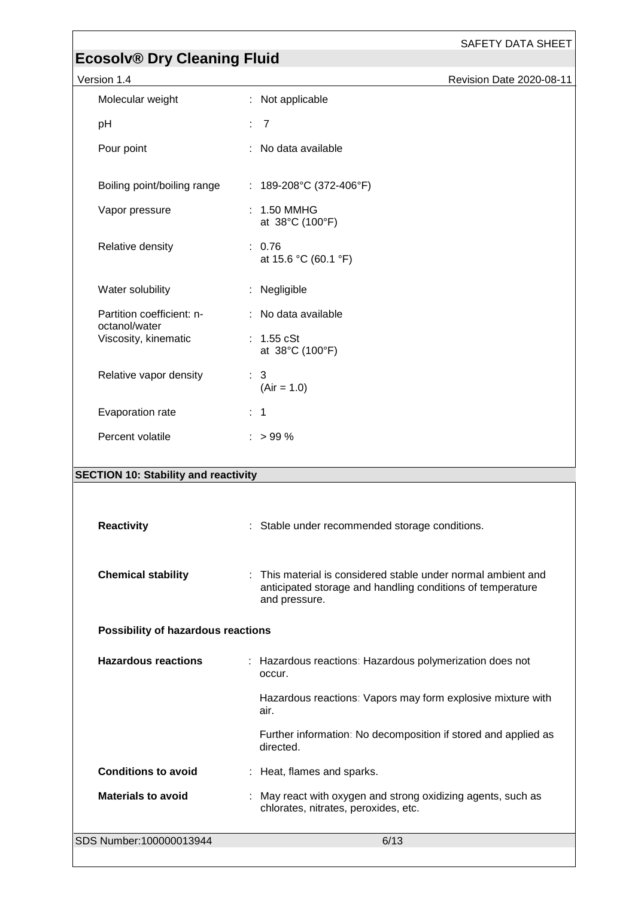| <b>Revision Date 2020-08-11</b> |  |
|---------------------------------|--|
|---------------------------------|--|

| Version 1.4                                 | <b>Revision Date 2020-08-11</b>                                                                                                              |
|---------------------------------------------|----------------------------------------------------------------------------------------------------------------------------------------------|
| Molecular weight                            | : Not applicable                                                                                                                             |
| pH                                          | : 7                                                                                                                                          |
| Pour point                                  | : No data available                                                                                                                          |
| Boiling point/boiling range                 | : $189-208$ °C (372-406°F)                                                                                                                   |
| Vapor pressure                              | : 1.50 MMHG<br>at 38°C (100°F)                                                                                                               |
| Relative density                            | : 0.76<br>at 15.6 °C (60.1 °F)                                                                                                               |
| Water solubility                            | : Negligible                                                                                                                                 |
| Partition coefficient: n-<br>octanol/water  | : No data available                                                                                                                          |
| Viscosity, kinematic                        | : $1.55$ cSt<br>at 38°C (100°F)                                                                                                              |
| Relative vapor density                      | : 3<br>$(Air = 1.0)$                                                                                                                         |
| Evaporation rate                            | $\therefore$ 1                                                                                                                               |
| Percent volatile                            | $:$ > 99 %                                                                                                                                   |
| <b>SECTION 10: Stability and reactivity</b> |                                                                                                                                              |
|                                             |                                                                                                                                              |
| <b>Reactivity</b>                           | : Stable under recommended storage conditions.                                                                                               |
| <b>Chemical stability</b>                   | : This material is considered stable under normal ambient and<br>anticipated storage and handling conditions of temperature<br>and pressure. |
| Possibility of hazardous reactions          |                                                                                                                                              |
| <b>Hazardous reactions</b>                  | : Hazardous reactions: Hazardous polymerization does not<br>occur.                                                                           |
|                                             | Hazardous reactions: Vapors may form explosive mixture with<br>air.                                                                          |
|                                             | Further information: No decomposition if stored and applied as<br>directed.                                                                  |
| <b>Conditions to avoid</b>                  | : Heat, flames and sparks.                                                                                                                   |
| <b>Materials to avoid</b>                   | May react with oxygen and strong oxidizing agents, such as<br>chlorates, nitrates, peroxides, etc.                                           |
|                                             |                                                                                                                                              |

SDS Number:100000013944 6/13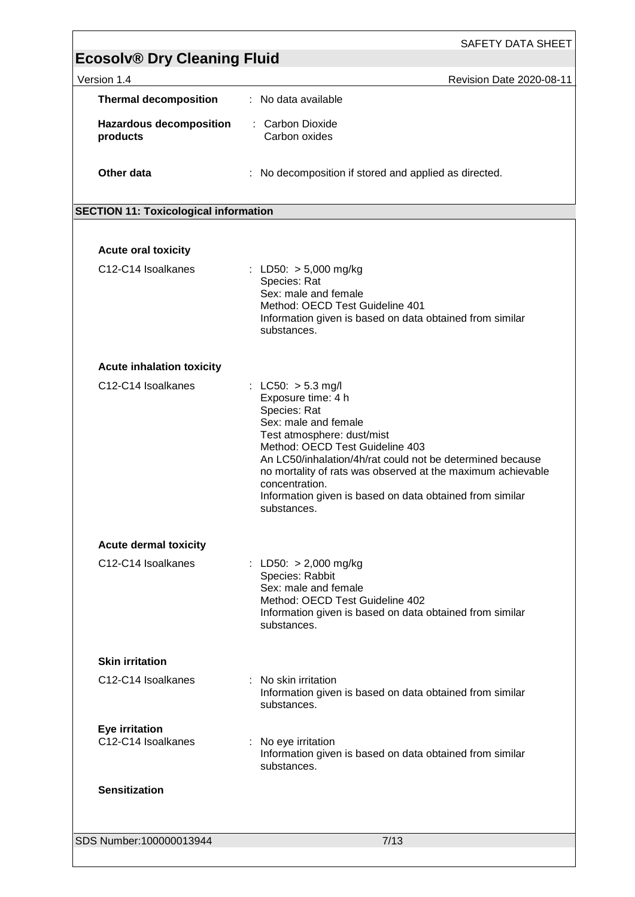| <b>Ecosolv® Dry Cleaning Fluid</b>           |                                                                                                                                                                                                                                                                                                                                                                              |
|----------------------------------------------|------------------------------------------------------------------------------------------------------------------------------------------------------------------------------------------------------------------------------------------------------------------------------------------------------------------------------------------------------------------------------|
| Version 1.4                                  | Revision Date 2020-08-11                                                                                                                                                                                                                                                                                                                                                     |
| <b>Thermal decomposition</b>                 | : No data available                                                                                                                                                                                                                                                                                                                                                          |
| <b>Hazardous decomposition</b><br>products   | : Carbon Dioxide<br>Carbon oxides                                                                                                                                                                                                                                                                                                                                            |
| Other data                                   | No decomposition if stored and applied as directed.                                                                                                                                                                                                                                                                                                                          |
| <b>SECTION 11: Toxicological information</b> |                                                                                                                                                                                                                                                                                                                                                                              |
|                                              |                                                                                                                                                                                                                                                                                                                                                                              |
| <b>Acute oral toxicity</b>                   |                                                                                                                                                                                                                                                                                                                                                                              |
| C12-C14 Isoalkanes                           | : LD50: $> 5,000$ mg/kg<br>Species: Rat<br>Sex: male and female<br>Method: OECD Test Guideline 401<br>Information given is based on data obtained from similar<br>substances.                                                                                                                                                                                                |
| <b>Acute inhalation toxicity</b>             |                                                                                                                                                                                                                                                                                                                                                                              |
| C12-C14 Isoalkanes                           | : LC50: $> 5.3$ mg/l<br>Exposure time: 4 h<br>Species: Rat<br>Sex: male and female<br>Test atmosphere: dust/mist<br>Method: OECD Test Guideline 403<br>An LC50/inhalation/4h/rat could not be determined because<br>no mortality of rats was observed at the maximum achievable<br>concentration.<br>Information given is based on data obtained from similar<br>substances. |
| <b>Acute dermal toxicity</b>                 |                                                                                                                                                                                                                                                                                                                                                                              |
| C12-C14 Isoalkanes                           | : LD50: $> 2,000$ mg/kg<br>Species: Rabbit<br>Sex: male and female<br>Method: OECD Test Guideline 402<br>Information given is based on data obtained from similar<br>substances.                                                                                                                                                                                             |
| <b>Skin irritation</b>                       |                                                                                                                                                                                                                                                                                                                                                                              |
| C12-C14 Isoalkanes                           | : No skin irritation<br>Information given is based on data obtained from similar<br>substances.                                                                                                                                                                                                                                                                              |
| <b>Eye irritation</b><br>C12-C14 Isoalkanes  | : No eye irritation<br>Information given is based on data obtained from similar<br>substances.                                                                                                                                                                                                                                                                               |
| <b>Sensitization</b>                         |                                                                                                                                                                                                                                                                                                                                                                              |
| SDS Number:100000013944                      | 7/13                                                                                                                                                                                                                                                                                                                                                                         |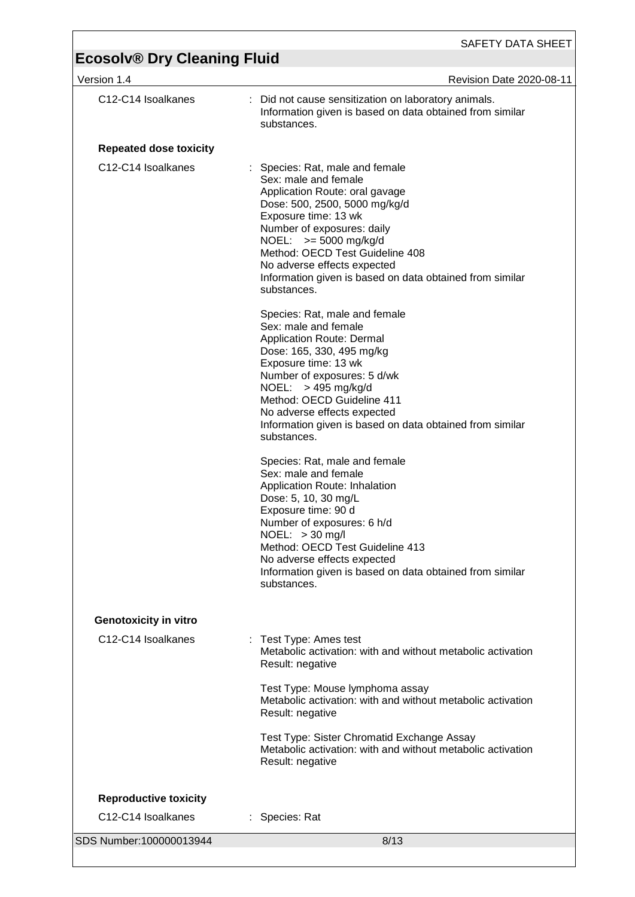| Version 1.4                   | Revision Date 2020-08-11                                                                                                                                                                                                                                                                                                                               |
|-------------------------------|--------------------------------------------------------------------------------------------------------------------------------------------------------------------------------------------------------------------------------------------------------------------------------------------------------------------------------------------------------|
| C12-C14 Isoalkanes            | Did not cause sensitization on laboratory animals.<br>Information given is based on data obtained from similar<br>substances.                                                                                                                                                                                                                          |
| <b>Repeated dose toxicity</b> |                                                                                                                                                                                                                                                                                                                                                        |
| C12-C14 Isoalkanes            | Species: Rat, male and female<br>Sex: male and female<br>Application Route: oral gavage<br>Dose: 500, 2500, 5000 mg/kg/d<br>Exposure time: 13 wk<br>Number of exposures: daily<br>NOEL: $>= 5000$ mg/kg/d<br>Method: OECD Test Guideline 408<br>No adverse effects expected<br>Information given is based on data obtained from similar<br>substances. |
|                               | Species: Rat, male and female<br>Sex: male and female<br><b>Application Route: Dermal</b><br>Dose: 165, 330, 495 mg/kg<br>Exposure time: 13 wk<br>Number of exposures: 5 d/wk<br>NOEL: $>$ 495 mg/kg/d<br>Method: OECD Guideline 411<br>No adverse effects expected<br>Information given is based on data obtained from similar<br>substances.         |
|                               | Species: Rat, male and female<br>Sex: male and female<br>Application Route: Inhalation<br>Dose: 5, 10, 30 mg/L<br>Exposure time: 90 d<br>Number of exposures: 6 h/d<br>$NOEL: > 30$ mg/l<br>Method: OECD Test Guideline 413<br>No adverse effects expected<br>Information given is based on data obtained from similar<br>substances.                  |
| <b>Genotoxicity in vitro</b>  |                                                                                                                                                                                                                                                                                                                                                        |
| C12-C14 Isoalkanes            | : Test Type: Ames test<br>Metabolic activation: with and without metabolic activation<br>Result: negative                                                                                                                                                                                                                                              |
|                               | Test Type: Mouse lymphoma assay<br>Metabolic activation: with and without metabolic activation<br>Result: negative                                                                                                                                                                                                                                     |
|                               | Test Type: Sister Chromatid Exchange Assay<br>Metabolic activation: with and without metabolic activation<br>Result: negative                                                                                                                                                                                                                          |
| <b>Reproductive toxicity</b>  |                                                                                                                                                                                                                                                                                                                                                        |
| C12-C14 Isoalkanes            | : Species: Rat                                                                                                                                                                                                                                                                                                                                         |
| SDS Number: 100000013944      | 8/13                                                                                                                                                                                                                                                                                                                                                   |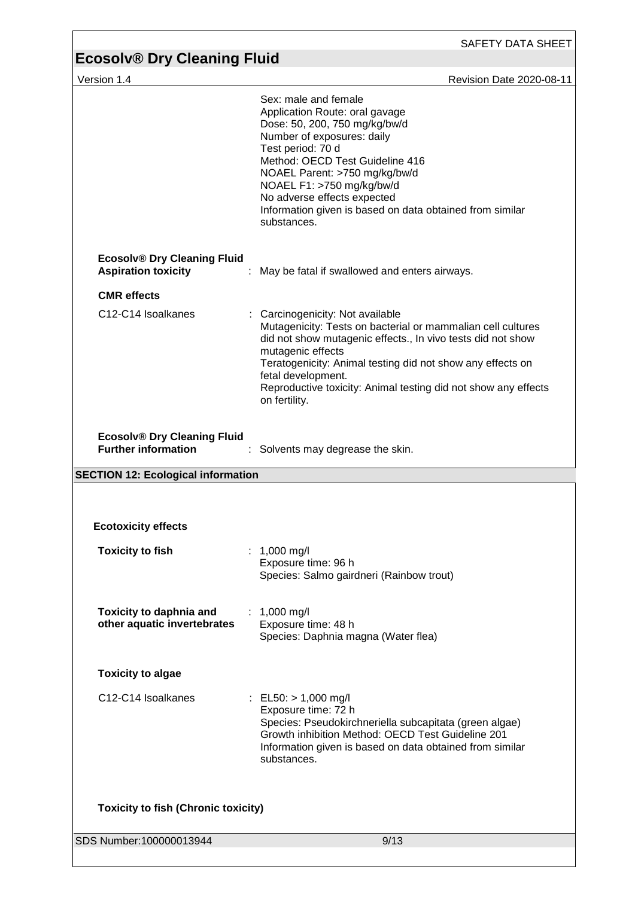| Revision Date 2020-08-11<br>Sex: male and female<br>Application Route: oral gavage<br>Dose: 50, 200, 750 mg/kg/bw/d<br>Number of exposures: daily<br>Test period: 70 d<br>Method: OECD Test Guideline 416<br>NOAEL Parent: >750 mg/kg/bw/d<br>NOAEL F1: >750 mg/kg/bw/d<br>No adverse effects expected<br>Information given is based on data obtained from similar<br>substances.<br>May be fatal if swallowed and enters airways. |
|------------------------------------------------------------------------------------------------------------------------------------------------------------------------------------------------------------------------------------------------------------------------------------------------------------------------------------------------------------------------------------------------------------------------------------|
|                                                                                                                                                                                                                                                                                                                                                                                                                                    |
|                                                                                                                                                                                                                                                                                                                                                                                                                                    |
|                                                                                                                                                                                                                                                                                                                                                                                                                                    |
|                                                                                                                                                                                                                                                                                                                                                                                                                                    |
| Carcinogenicity: Not available<br>Mutagenicity: Tests on bacterial or mammalian cell cultures<br>did not show mutagenic effects., In vivo tests did not show<br>mutagenic effects<br>Teratogenicity: Animal testing did not show any effects on<br>fetal development.<br>Reproductive toxicity: Animal testing did not show any effects<br>on fertility.                                                                           |
| Solvents may degrease the skin.                                                                                                                                                                                                                                                                                                                                                                                                    |
|                                                                                                                                                                                                                                                                                                                                                                                                                                    |
|                                                                                                                                                                                                                                                                                                                                                                                                                                    |
| 1,000 mg/l<br>Exposure time: 96 h<br>Species: Salmo gairdneri (Rainbow trout)                                                                                                                                                                                                                                                                                                                                                      |
| : 1,000 mg/l<br>Exposure time: 48 h<br>Species: Daphnia magna (Water flea)                                                                                                                                                                                                                                                                                                                                                         |
|                                                                                                                                                                                                                                                                                                                                                                                                                                    |
| : EL50: $> 1,000$ mg/l<br>Exposure time: 72 h<br>Species: Pseudokirchneriella subcapitata (green algae)<br>Growth inhibition Method: OECD Test Guideline 201<br>Information given is based on data obtained from similar<br>substances.                                                                                                                                                                                            |
|                                                                                                                                                                                                                                                                                                                                                                                                                                    |
|                                                                                                                                                                                                                                                                                                                                                                                                                                    |
|                                                                                                                                                                                                                                                                                                                                                                                                                                    |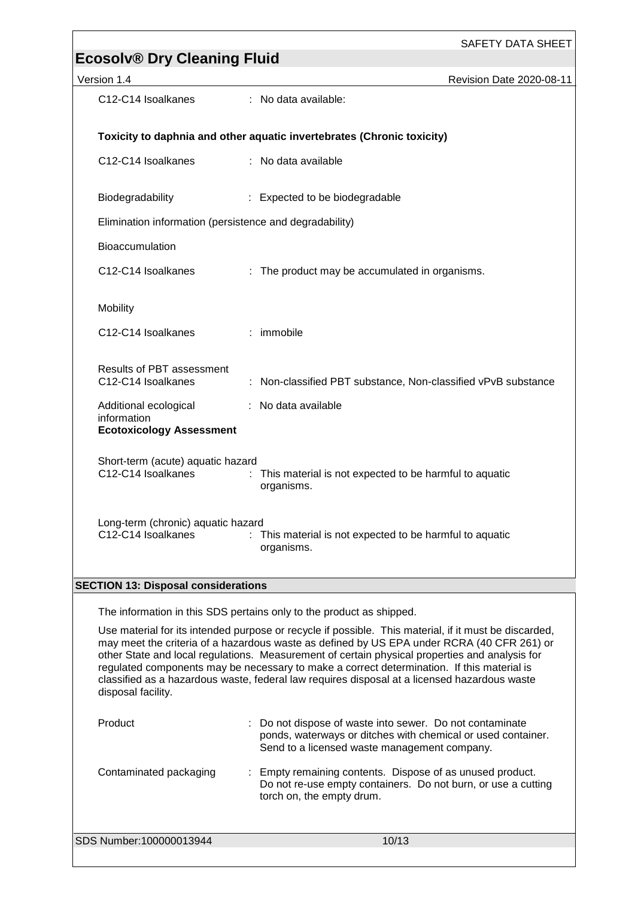| Version 1.4                                                                                                                                                                                                                                                                                                                                                                                                                                                                                                                                                                                       | Revision Date 2020-08-11                                                                                                                                               |  |  |  |  |
|---------------------------------------------------------------------------------------------------------------------------------------------------------------------------------------------------------------------------------------------------------------------------------------------------------------------------------------------------------------------------------------------------------------------------------------------------------------------------------------------------------------------------------------------------------------------------------------------------|------------------------------------------------------------------------------------------------------------------------------------------------------------------------|--|--|--|--|
| C12-C14 Isoalkanes                                                                                                                                                                                                                                                                                                                                                                                                                                                                                                                                                                                | : No data available:                                                                                                                                                   |  |  |  |  |
|                                                                                                                                                                                                                                                                                                                                                                                                                                                                                                                                                                                                   |                                                                                                                                                                        |  |  |  |  |
|                                                                                                                                                                                                                                                                                                                                                                                                                                                                                                                                                                                                   | Toxicity to daphnia and other aquatic invertebrates (Chronic toxicity)                                                                                                 |  |  |  |  |
| C12-C14 Isoalkanes                                                                                                                                                                                                                                                                                                                                                                                                                                                                                                                                                                                | : No data available                                                                                                                                                    |  |  |  |  |
| Biodegradability                                                                                                                                                                                                                                                                                                                                                                                                                                                                                                                                                                                  | : Expected to be biodegradable                                                                                                                                         |  |  |  |  |
| Elimination information (persistence and degradability)                                                                                                                                                                                                                                                                                                                                                                                                                                                                                                                                           |                                                                                                                                                                        |  |  |  |  |
| Bioaccumulation                                                                                                                                                                                                                                                                                                                                                                                                                                                                                                                                                                                   |                                                                                                                                                                        |  |  |  |  |
| C12-C14 Isoalkanes                                                                                                                                                                                                                                                                                                                                                                                                                                                                                                                                                                                | : The product may be accumulated in organisms.                                                                                                                         |  |  |  |  |
| Mobility                                                                                                                                                                                                                                                                                                                                                                                                                                                                                                                                                                                          |                                                                                                                                                                        |  |  |  |  |
| C12-C14 Isoalkanes                                                                                                                                                                                                                                                                                                                                                                                                                                                                                                                                                                                | : immobile                                                                                                                                                             |  |  |  |  |
| Results of PBT assessment<br>C12-C14 Isoalkanes                                                                                                                                                                                                                                                                                                                                                                                                                                                                                                                                                   | : Non-classified PBT substance, Non-classified vPvB substance                                                                                                          |  |  |  |  |
| Additional ecological<br>information<br><b>Ecotoxicology Assessment</b>                                                                                                                                                                                                                                                                                                                                                                                                                                                                                                                           | : No data available                                                                                                                                                    |  |  |  |  |
| Short-term (acute) aquatic hazard<br>C12-C14 Isoalkanes                                                                                                                                                                                                                                                                                                                                                                                                                                                                                                                                           | : This material is not expected to be harmful to aquatic<br>organisms.                                                                                                 |  |  |  |  |
| Long-term (chronic) aquatic hazard<br>C12-C14 Isoalkanes<br>: This material is not expected to be harmful to aquatic<br>organisms.                                                                                                                                                                                                                                                                                                                                                                                                                                                                |                                                                                                                                                                        |  |  |  |  |
| <b>SECTION 13: Disposal considerations</b>                                                                                                                                                                                                                                                                                                                                                                                                                                                                                                                                                        |                                                                                                                                                                        |  |  |  |  |
|                                                                                                                                                                                                                                                                                                                                                                                                                                                                                                                                                                                                   |                                                                                                                                                                        |  |  |  |  |
| The information in this SDS pertains only to the product as shipped.<br>Use material for its intended purpose or recycle if possible. This material, if it must be discarded,<br>may meet the criteria of a hazardous waste as defined by US EPA under RCRA (40 CFR 261) or<br>other State and local regulations. Measurement of certain physical properties and analysis for<br>regulated components may be necessary to make a correct determination. If this material is<br>classified as a hazardous waste, federal law requires disposal at a licensed hazardous waste<br>disposal facility. |                                                                                                                                                                        |  |  |  |  |
| Product                                                                                                                                                                                                                                                                                                                                                                                                                                                                                                                                                                                           | Do not dispose of waste into sewer. Do not contaminate<br>ponds, waterways or ditches with chemical or used container.<br>Send to a licensed waste management company. |  |  |  |  |
| Contaminated packaging                                                                                                                                                                                                                                                                                                                                                                                                                                                                                                                                                                            | Empty remaining contents. Dispose of as unused product.<br>Do not re-use empty containers. Do not burn, or use a cutting<br>torch on, the empty drum.                  |  |  |  |  |
|                                                                                                                                                                                                                                                                                                                                                                                                                                                                                                                                                                                                   |                                                                                                                                                                        |  |  |  |  |
| SDS Number:100000013944                                                                                                                                                                                                                                                                                                                                                                                                                                                                                                                                                                           | 10/13                                                                                                                                                                  |  |  |  |  |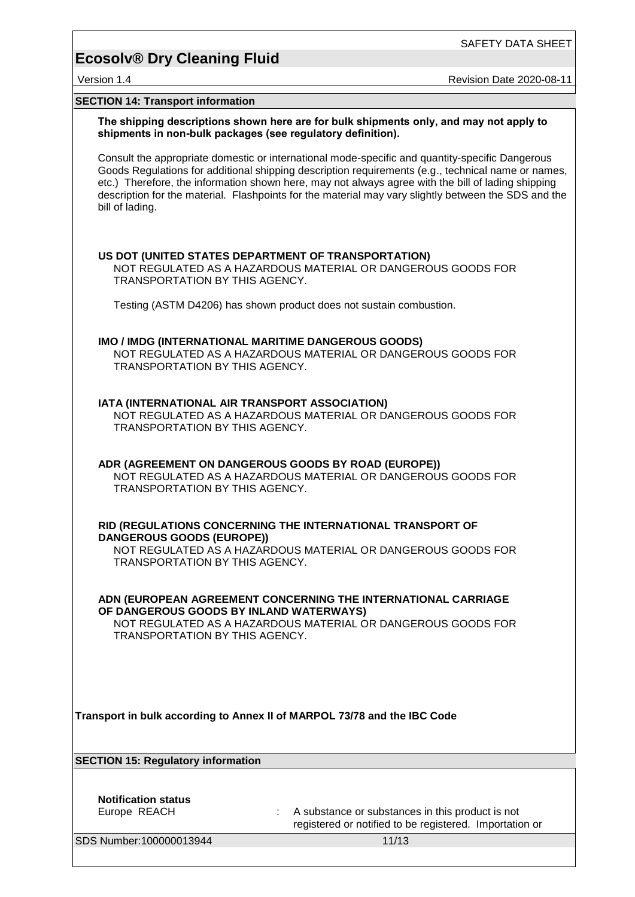SAFETY DATA SHEET

### **Ecosolv® Dry Cleaning Fluid**

Version 1.4 **Australian Controller Controller Controller Controller Controller Revision Date 2020-08-11** 

#### **SECTION 14: Transport information**

**The shipping descriptions shown here are for bulk shipments only, and may not apply to shipments in non-bulk packages (see regulatory definition).**

Consult the appropriate domestic or international mode-specific and quantity-specific Dangerous Goods Regulations for additional shipping description requirements (e.g., technical name or names, etc.) Therefore, the information shown here, may not always agree with the bill of lading shipping description for the material. Flashpoints for the material may vary slightly between the SDS and the bill of lading.

#### **US DOT (UNITED STATES DEPARTMENT OF TRANSPORTATION)**

NOT REGULATED AS A HAZARDOUS MATERIAL OR DANGEROUS GOODS FOR TRANSPORTATION BY THIS AGENCY.

Testing (ASTM D4206) has shown product does not sustain combustion.

#### **IMO / IMDG (INTERNATIONAL MARITIME DANGEROUS GOODS)**

NOT REGULATED AS A HAZARDOUS MATERIAL OR DANGEROUS GOODS FOR TRANSPORTATION BY THIS AGENCY.

#### **IATA (INTERNATIONAL AIR TRANSPORT ASSOCIATION)**

NOT REGULATED AS A HAZARDOUS MATERIAL OR DANGEROUS GOODS FOR TRANSPORTATION BY THIS AGENCY.

#### **ADR (AGREEMENT ON DANGEROUS GOODS BY ROAD (EUROPE))** NOT REGULATED AS A HAZARDOUS MATERIAL OR DANGEROUS GOODS FOR TRANSPORTATION BY THIS AGENCY.

#### **RID (REGULATIONS CONCERNING THE INTERNATIONAL TRANSPORT OF DANGEROUS GOODS (EUROPE))**

NOT REGULATED AS A HAZARDOUS MATERIAL OR DANGEROUS GOODS FOR TRANSPORTATION BY THIS AGENCY.

**ADN (EUROPEAN AGREEMENT CONCERNING THE INTERNATIONAL CARRIAGE OF DANGEROUS GOODS BY INLAND WATERWAYS)**

NOT REGULATED AS A HAZARDOUS MATERIAL OR DANGEROUS GOODS FOR TRANSPORTATION BY THIS AGENCY.

**Transport in bulk according to Annex II of MARPOL 73/78 and the IBC Code**

**SECTION 15: Regulatory information**

**Notification status**

Europe REACH : A substance or substances in this product is not registered or notified to be registered. Importation or

SDS Number:100000013944 11/13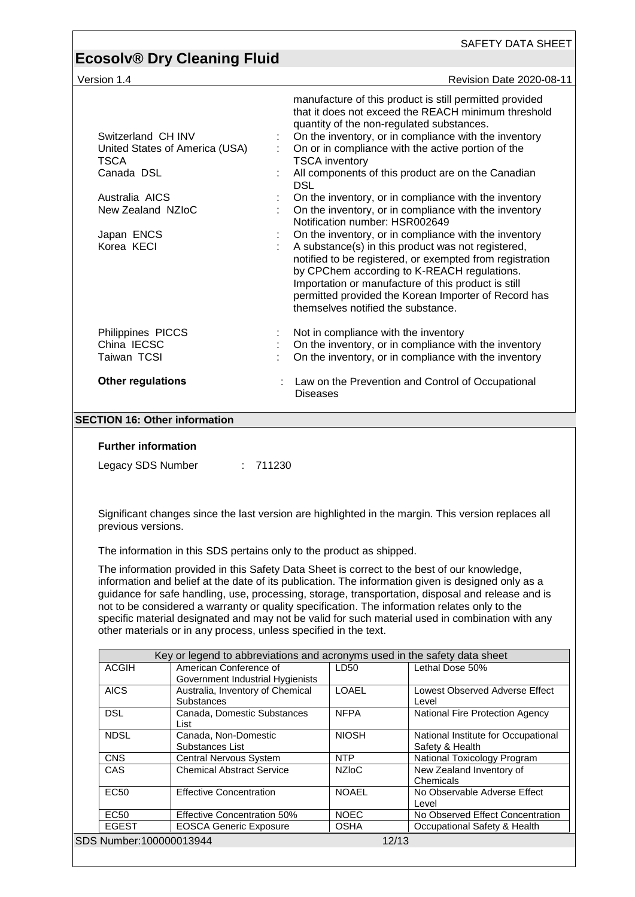| <b>Ecosolv® Dry Cleaning Fluid</b>                                                                 | SAFETY DATA SHEET                                                                                                                                                                                                                                                                                                                                                                |
|----------------------------------------------------------------------------------------------------|----------------------------------------------------------------------------------------------------------------------------------------------------------------------------------------------------------------------------------------------------------------------------------------------------------------------------------------------------------------------------------|
| Version 1.4                                                                                        | <b>Revision Date 2020-08-11</b>                                                                                                                                                                                                                                                                                                                                                  |
|                                                                                                    |                                                                                                                                                                                                                                                                                                                                                                                  |
| Switzerland CH INV<br>United States of America (USA)                                               | manufacture of this product is still permitted provided<br>that it does not exceed the REACH minimum threshold<br>quantity of the non-regulated substances.<br>On the inventory, or in compliance with the inventory<br>On or in compliance with the active portion of the                                                                                                       |
| <b>TSCA</b><br>Canada DSL                                                                          | <b>TSCA</b> inventory<br>All components of this product are on the Canadian                                                                                                                                                                                                                                                                                                      |
| Australia AICS<br>New Zealand NZIoC                                                                | <b>DSL</b><br>On the inventory, or in compliance with the inventory<br>On the inventory, or in compliance with the inventory<br>Notification number: HSR002649                                                                                                                                                                                                                   |
| Japan ENCS<br>Korea KECI                                                                           | On the inventory, or in compliance with the inventory<br>A substance(s) in this product was not registered,<br>notified to be registered, or exempted from registration<br>by CPChem according to K-REACH regulations.<br>Importation or manufacture of this product is still<br>permitted provided the Korean Importer of Record has<br>themselves notified the substance.      |
| Philippines PICCS<br>China IECSC<br>Taiwan TCSI                                                    | Not in compliance with the inventory<br>On the inventory, or in compliance with the inventory<br>On the inventory, or in compliance with the inventory                                                                                                                                                                                                                           |
| <b>Other regulations</b>                                                                           | Law on the Prevention and Control of Occupational<br><b>Diseases</b>                                                                                                                                                                                                                                                                                                             |
| <b>SECTION 16: Other information</b><br><b>Further information</b><br>Legacy SDS Number            | : 711230                                                                                                                                                                                                                                                                                                                                                                         |
| previous versions.                                                                                 | Significant changes since the last version are highlighted in the margin. This version replaces all<br>The information in this SDS pertains only to the product as shipped.<br>The information provided in this Safety Data Sheet is correct to the best of our knowledge,<br>information and belief at the date of its publication. The information given is designed only as a |
| other materials or in any process, unless specified in the text.                                   | guidance for safe handling, use, processing, storage, transportation, disposal and release and is<br>not to be considered a warranty or quality specification. The information relates only to the<br>specific material designated and may not be valid for such material used in combination with any                                                                           |
|                                                                                                    | Key or legend to abbreviations and acronyms used in the safety data sheet                                                                                                                                                                                                                                                                                                        |
| <b>ACGIH</b><br>American Conference of<br>Government Industrial Hygienists                         | Lethal Dose 50%<br>LD50                                                                                                                                                                                                                                                                                                                                                          |
| <b>AICS</b><br>Australia, Inventory of Chemical<br>Substances                                      | LOAEL<br>Lowest Observed Adverse Effect<br>Level                                                                                                                                                                                                                                                                                                                                 |
| <b>DSL</b><br>Canada, Domestic Substances<br>List                                                  | <b>NFPA</b><br>National Fire Protection Agency                                                                                                                                                                                                                                                                                                                                   |
| <b>NDSL</b><br>Canada, Non-Domestic<br>Substances List                                             | <b>NIOSH</b><br>National Institute for Occupational<br>Safety & Health                                                                                                                                                                                                                                                                                                           |
| <b>CNS</b><br>Central Nervous System                                                               | <b>NTP</b><br>National Toxicology Program                                                                                                                                                                                                                                                                                                                                        |
| CAS<br><b>Chemical Abstract Service</b>                                                            | <b>NZIoC</b><br>New Zealand Inventory of<br>Chemicals                                                                                                                                                                                                                                                                                                                            |
| <b>EC50</b><br><b>Effective Concentration</b><br><b>EC50</b><br><b>Effective Concentration 50%</b> | <b>NOAEL</b><br>No Observable Adverse Effect<br>Level<br><b>NOEC</b><br>No Observed Effect Concentration                                                                                                                                                                                                                                                                         |